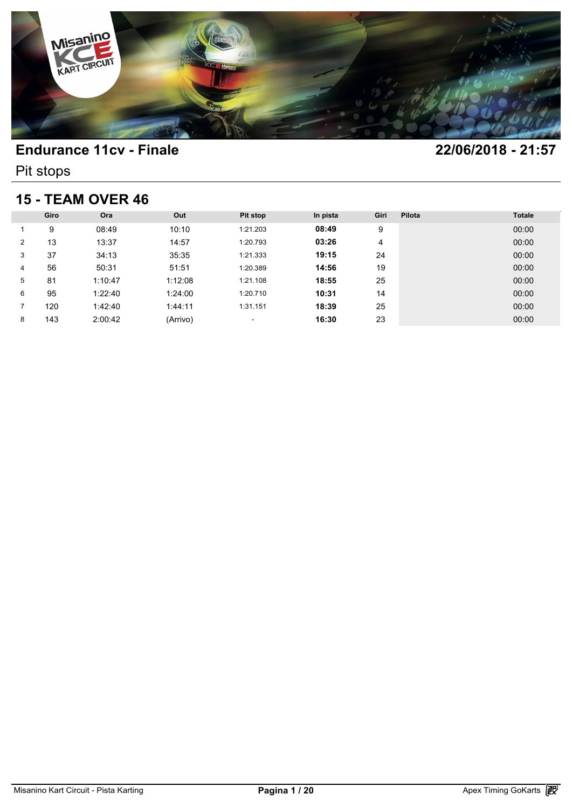

Pit stops

## **15 - TEAM OVER 46**

| <b>15 - TEAM OVER 46</b> |      |         |          |                          |          |      |        |               |  |
|--------------------------|------|---------|----------|--------------------------|----------|------|--------|---------------|--|
|                          | Giro | Ora     | Out      | <b>Pit stop</b>          | In pista | Giri | Pilota | <b>Totale</b> |  |
|                          | 9    | 08:49   | 10:10    | 1:21.203                 | 08:49    | 9    |        | 00:00         |  |
| 2                        | 13   | 13:37   | 14:57    | 1:20.793                 | 03:26    | 4    |        | 00:00         |  |
| 3                        | 37   | 34:13   | 35:35    | 1:21.333                 | 19:15    | 24   |        | 00:00         |  |
| 4                        | 56   | 50:31   | 51:51    | 1:20.389                 | 14:56    | 19   |        | 00:00         |  |
| 5                        | 81   | 1:10:47 | 1:12:08  | 1:21.108                 | 18:55    | 25   |        | 00:00         |  |
| 6                        | 95   | 1:22:40 | 1:24:00  | 1:20.710                 | 10:31    | 14   |        | 00:00         |  |
| 7                        | 120  | 1:42:40 | 1:44:11  | 1:31.151                 | 18:39    | 25   |        | 00:00         |  |
| 8                        | 143  | 2:00:42 | (Arrivo) | $\overline{\phantom{a}}$ | 16:30    | 23   |        | 00:00         |  |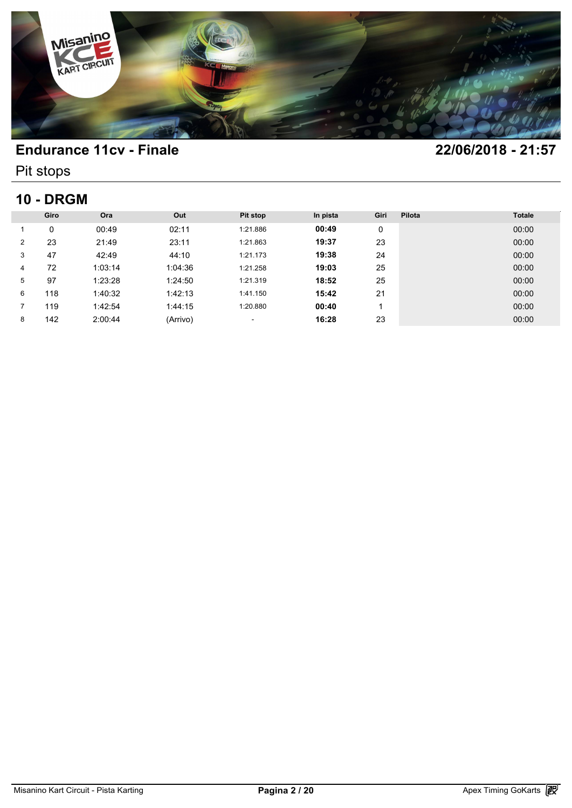

Pit stops

## **10 - DRGM**

| <b>10 - DRGM</b> |      |         |          |          |          |      |        |               |  |
|------------------|------|---------|----------|----------|----------|------|--------|---------------|--|
|                  | Giro | Ora     | Out      | Pit stop | In pista | Giri | Pilota | <b>Totale</b> |  |
|                  | 0    | 00:49   | 02:11    | 1:21.886 | 00:49    | 0    |        | 00:00         |  |
| 2                | 23   | 21:49   | 23:11    | 1:21.863 | 19:37    | 23   |        | 00:00         |  |
| 3                | 47   | 42:49   | 44:10    | 1:21.173 | 19:38    | 24   |        | 00:00         |  |
| 4                | 72   | 1:03:14 | 1:04:36  | 1:21.258 | 19:03    | 25   |        | 00:00         |  |
| 5                | 97   | 1:23:28 | 1:24:50  | 1:21.319 | 18:52    | 25   |        | 00:00         |  |
| 6                | 118  | 1:40:32 | 1:42:13  | 1:41.150 | 15:42    | 21   |        | 00:00         |  |
|                  | 119  | 1:42:54 | 1:44:15  | 1:20.880 | 00:40    | 1    |        | 00:00         |  |
| 8                | 142  | 2:00:44 | (Arrivo) | ٠        | 16:28    | 23   |        | 00:00         |  |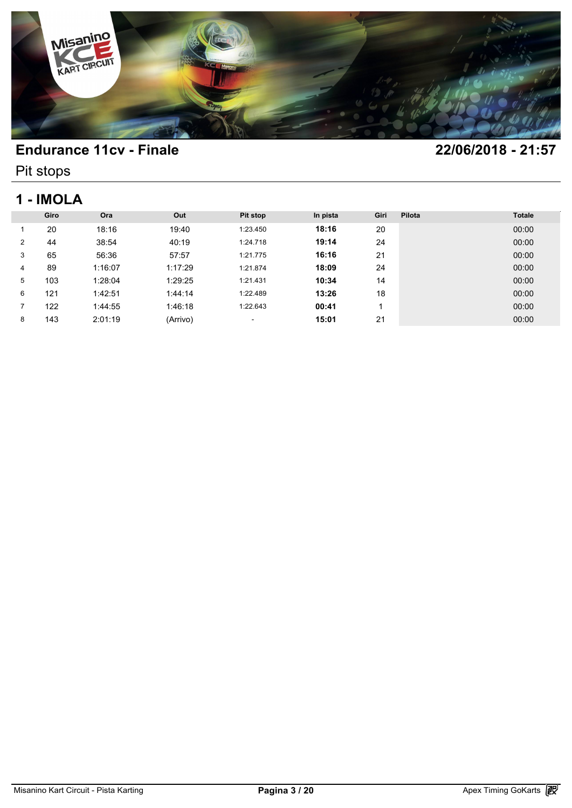

Pit stops

# **1 - IMOLA**

| 1 - IMOLA      |      |         |          |          |          |      |        |               |  |
|----------------|------|---------|----------|----------|----------|------|--------|---------------|--|
|                | Giro | Ora     | Out      | Pit stop | In pista | Giri | Pilota | <b>Totale</b> |  |
|                | 20   | 18:16   | 19:40    | 1:23.450 | 18:16    | 20   |        | 00:00         |  |
| $\overline{2}$ | 44   | 38:54   | 40:19    | 1:24.718 | 19:14    | 24   |        | 00:00         |  |
| 3              | 65   | 56:36   | 57:57    | 1:21.775 | 16:16    | 21   |        | 00:00         |  |
| 4              | 89   | 1:16:07 | 1:17:29  | 1:21.874 | 18:09    | 24   |        | 00:00         |  |
| 5              | 103  | 1:28:04 | 1:29:25  | 1:21.431 | 10:34    | 14   |        | 00:00         |  |
| 6              | 121  | 1:42:51 | 1:44:14  | 1:22.489 | 13:26    | 18   |        | 00:00         |  |
|                | 122  | 1:44:55 | 1:46:18  | 1:22.643 | 00:41    |      |        | 00:00         |  |
| 8              | 143  | 2:01:19 | (Arrivo) | ٠        | 15:01    | 21   |        | 00:00         |  |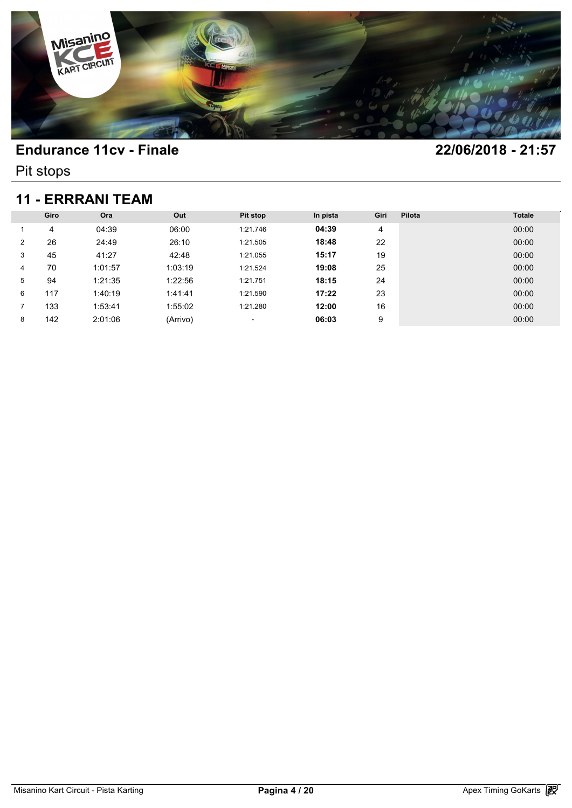

Pit stops

## **11 - ERRRANI TEAM**

| <b>11 - ERRRANI TEAM</b> |      |         |          |          |          |      |        |               |  |
|--------------------------|------|---------|----------|----------|----------|------|--------|---------------|--|
|                          | Giro | Ora     | Out      | Pit stop | In pista | Giri | Pilota | <b>Totale</b> |  |
|                          | 4    | 04:39   | 06:00    | 1:21.746 | 04:39    | 4    |        | 00:00         |  |
| $\overline{2}$           | 26   | 24:49   | 26:10    | 1:21.505 | 18:48    | 22   |        | 00:00         |  |
| 3                        | 45   | 41:27   | 42:48    | 1:21.055 | 15:17    | 19   |        | 00:00         |  |
| 4                        | 70   | 1:01:57 | 1:03:19  | 1:21.524 | 19:08    | 25   |        | 00:00         |  |
| 5                        | 94   | 1:21:35 | 1:22:56  | 1:21.751 | 18:15    | 24   |        | 00:00         |  |
| 6                        | 117  | 1:40:19 | 1:41:41  | 1:21.590 | 17:22    | 23   |        | 00:00         |  |
|                          | 133  | 1:53:41 | 1:55:02  | 1:21.280 | 12:00    | 16   |        | 00:00         |  |
| 8                        | 142  | 2:01:06 | (Arrivo) | ٠        | 06:03    | 9    |        | 00:00         |  |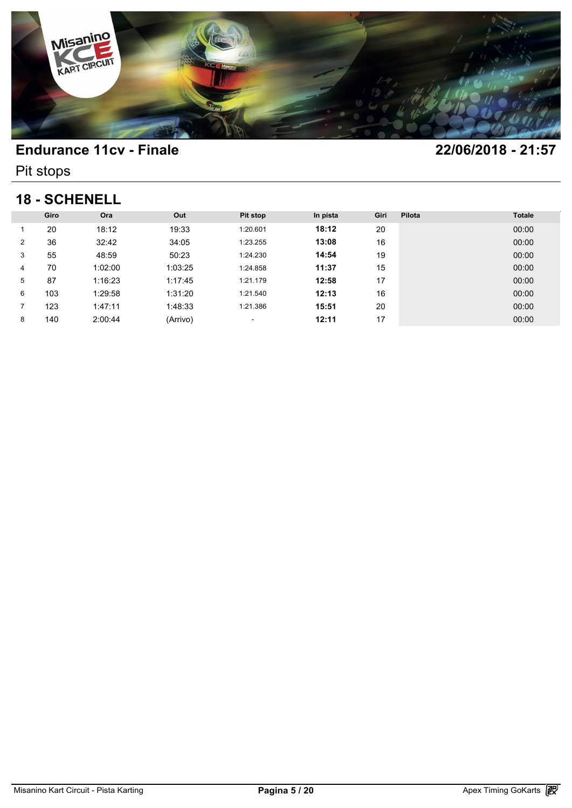

Pit stops

## **18 - SCHENELL**

| <b>18 - SCHENELL</b> |      |         |          |                          |          |      |        |               |  |
|----------------------|------|---------|----------|--------------------------|----------|------|--------|---------------|--|
|                      | Giro | Ora     | Out      | Pit stop                 | In pista | Giri | Pilota | <b>Totale</b> |  |
|                      | 20   | 18:12   | 19:33    | 1:20.601                 | 18:12    | 20   |        | 00:00         |  |
| 2                    | 36   | 32:42   | 34:05    | 1:23.255                 | 13:08    | 16   |        | 00:00         |  |
| 3                    | 55   | 48:59   | 50:23    | 1:24.230                 | 14:54    | 19   |        | 00:00         |  |
| 4                    | 70   | 1:02:00 | 1:03:25  | 1:24.858                 | 11:37    | 15   |        | 00:00         |  |
| 5                    | 87   | 1:16:23 | 1:17:45  | 1:21.179                 | 12:58    | 17   |        | 00:00         |  |
| 6                    | 103  | 1:29:58 | 1:31:20  | 1:21.540                 | 12:13    | 16   |        | 00:00         |  |
| 7                    | 123  | 1:47:11 | 1:48:33  | 1:21.386                 | 15:51    | 20   |        | 00:00         |  |
| 8                    | 140  | 2:00:44 | (Arrivo) | $\overline{\phantom{a}}$ | 12:11    | 17   |        | 00:00         |  |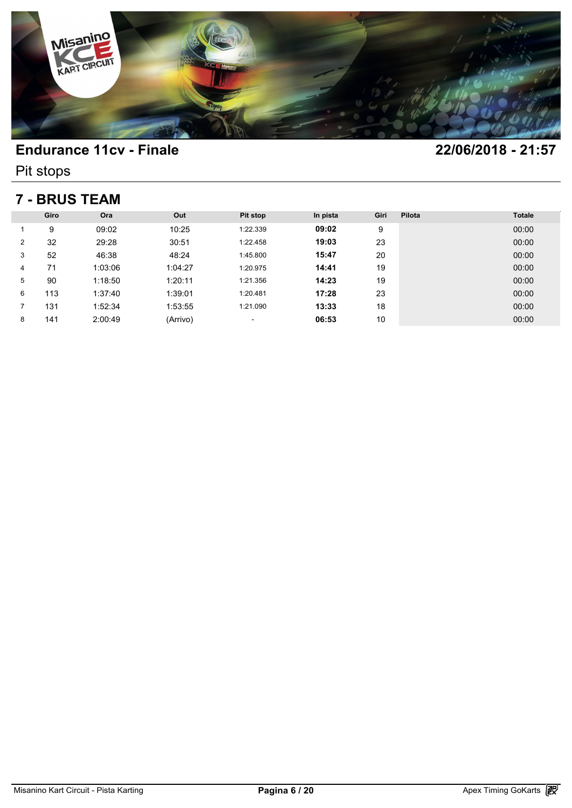

Pit stops

## **7 - BRUS TEAM**

| <b>7 - BRUS TEAM</b> |      |         |          |          |          |      |        |               |  |
|----------------------|------|---------|----------|----------|----------|------|--------|---------------|--|
|                      | Giro | Ora     | Out      | Pit stop | In pista | Giri | Pilota | <b>Totale</b> |  |
|                      | 9    | 09:02   | 10:25    | 1:22.339 | 09:02    | 9    |        | 00:00         |  |
| $\overline{2}$       | 32   | 29:28   | 30:51    | 1:22.458 | 19:03    | 23   |        | 00:00         |  |
| 3                    | 52   | 46:38   | 48:24    | 1:45.800 | 15:47    | 20   |        | 00:00         |  |
| 4                    | 71   | 1:03:06 | 1:04:27  | 1:20.975 | 14:41    | 19   |        | 00:00         |  |
| 5                    | 90   | 1:18:50 | 1:20:11  | 1:21.356 | 14:23    | 19   |        | 00:00         |  |
| 6                    | 113  | 1:37:40 | 1:39:01  | 1:20.481 | 17:28    | 23   |        | 00:00         |  |
|                      | 131  | 1:52:34 | 1:53:55  | 1:21.090 | 13:33    | 18   |        | 00:00         |  |
| 8                    | 141  | 2:00:49 | (Arrivo) | ٠        | 06:53    | 10   |        | 00:00         |  |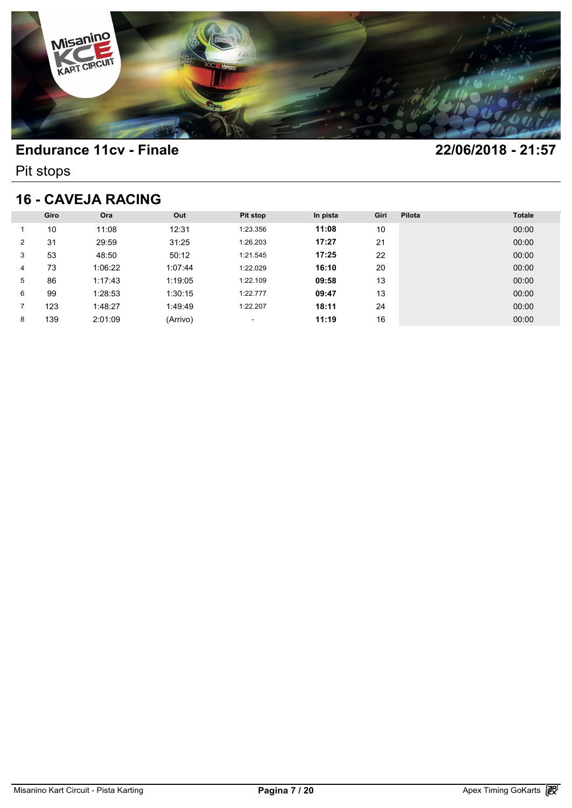

Pit stops

## **16 - CAVEJA RACING**

| <b>16 - CAVEJA RACING</b> |      |         |          |                          |          |      |        |               |  |
|---------------------------|------|---------|----------|--------------------------|----------|------|--------|---------------|--|
|                           | Giro | Ora     | Out      | <b>Pit stop</b>          | In pista | Giri | Pilota | <b>Totale</b> |  |
|                           | 10   | 11:08   | 12:31    | 1:23.356                 | 11:08    | 10   |        | 00:00         |  |
| 2                         | 31   | 29:59   | 31:25    | 1:26.203                 | 17:27    | 21   |        | 00:00         |  |
| 3                         | 53   | 48:50   | 50:12    | 1:21.545                 | 17:25    | 22   |        | 00:00         |  |
| 4                         | 73   | 1:06:22 | 1:07:44  | 1:22.029                 | 16:10    | 20   |        | 00:00         |  |
| 5                         | 86   | 1:17:43 | 1:19:05  | 1:22.109                 | 09:58    | 13   |        | 00:00         |  |
| 6                         | 99   | 1:28:53 | 1:30:15  | 1:22.777                 | 09:47    | 13   |        | 00:00         |  |
|                           | 123  | 1:48:27 | 1:49:49  | 1:22.207                 | 18:11    | 24   |        | 00:00         |  |
| 8                         | 139  | 2:01:09 | (Arrivo) | $\overline{\phantom{a}}$ | 11:19    | 16   |        | 00:00         |  |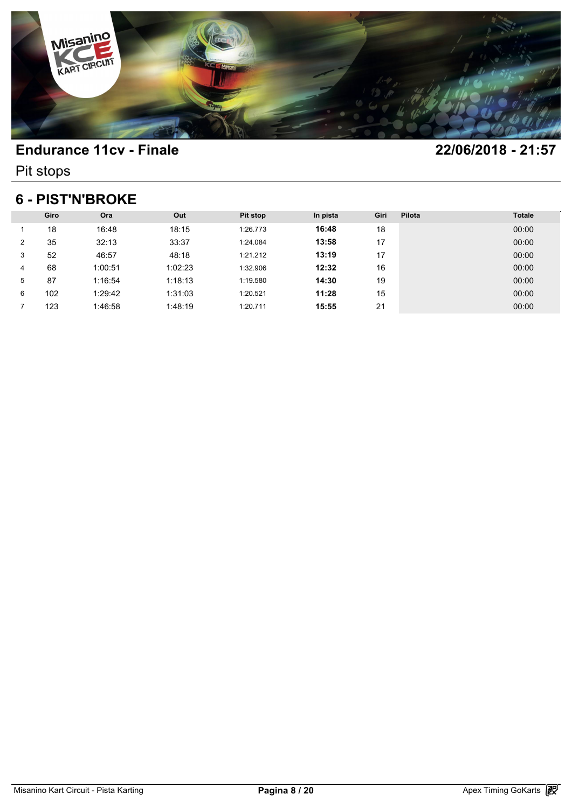

Pit stops

## **6 - PIST'N'BROKE**

| <b>6 - PIST'N'BROKE</b> |      |         |         |          |          |      |        |               |  |
|-------------------------|------|---------|---------|----------|----------|------|--------|---------------|--|
|                         | Giro | Ora     | Out     | Pit stop | In pista | Giri | Pilota | <b>Totale</b> |  |
|                         | 18   | 16:48   | 18:15   | 1:26.773 | 16:48    | 18   |        | 00:00         |  |
| $\overline{2}$          | 35   | 32:13   | 33:37   | 1:24.084 | 13:58    | 17   |        | 00:00         |  |
| 3                       | 52   | 46:57   | 48:18   | 1:21.212 | 13:19    | 17   |        | 00:00         |  |
| 4                       | 68   | 1:00:51 | 1:02:23 | 1:32.906 | 12:32    | 16   |        | 00:00         |  |
| 5                       | 87   | 1:16:54 | 1:18:13 | 1:19.580 | 14:30    | 19   |        | 00:00         |  |
| 6                       | 102  | 1:29:42 | 1:31:03 | 1:20.521 | 11:28    | 15   |        | 00:00         |  |
|                         | 123  | 1:46:58 | 1:48:19 | 1:20.711 | 15:55    | 21   |        | 00:00         |  |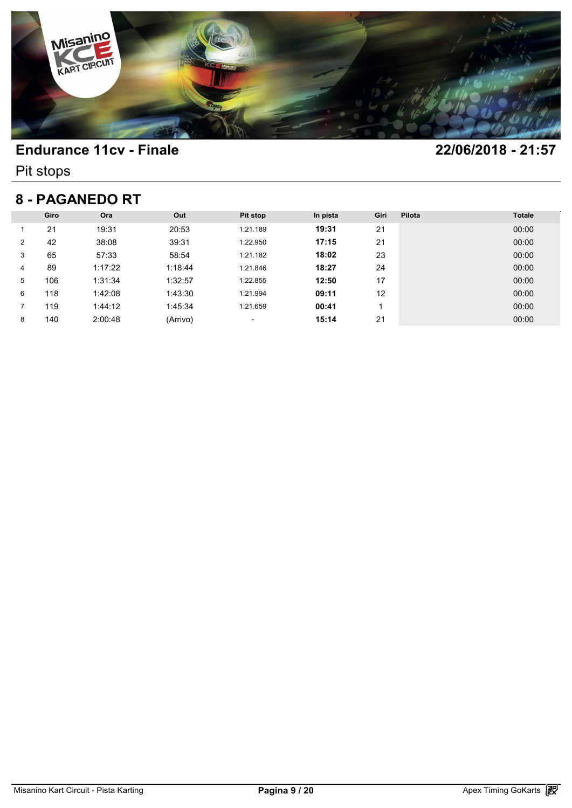

Pit stops

## **8 - PAGANEDO RT**

| 8 - PAGANEDO RT |      |         |          |                 |          |      |        |               |  |
|-----------------|------|---------|----------|-----------------|----------|------|--------|---------------|--|
|                 | Giro | Ora     | Out      | <b>Pit stop</b> | In pista | Giri | Pilota | <b>Totale</b> |  |
|                 | 21   | 19:31   | 20:53    | 1:21.189        | 19:31    | 21   |        | 00:00         |  |
| 2               | 42   | 38:08   | 39:31    | 1:22.950        | 17:15    | 21   |        | 00:00         |  |
| 3               | 65   | 57:33   | 58:54    | 1:21.182        | 18:02    | 23   |        | 00:00         |  |
| 4               | 89   | 1:17:22 | 1:18:44  | 1:21.846        | 18:27    | 24   |        | 00:00         |  |
| 5               | 106  | 1:31:34 | 1:32:57  | 1:22.855        | 12:50    | 17   |        | 00:00         |  |
| 6               | 118  | 1:42:08 | 1:43:30  | 1:21.994        | 09:11    | 12   |        | 00:00         |  |
|                 | 119  | 1:44:12 | 1:45:34  | 1:21.659        | 00:41    |      |        | 00:00         |  |
| 8               | 140  | 2:00:48 | (Arrivo) | ٠               | 15:14    | 21   |        | 00:00         |  |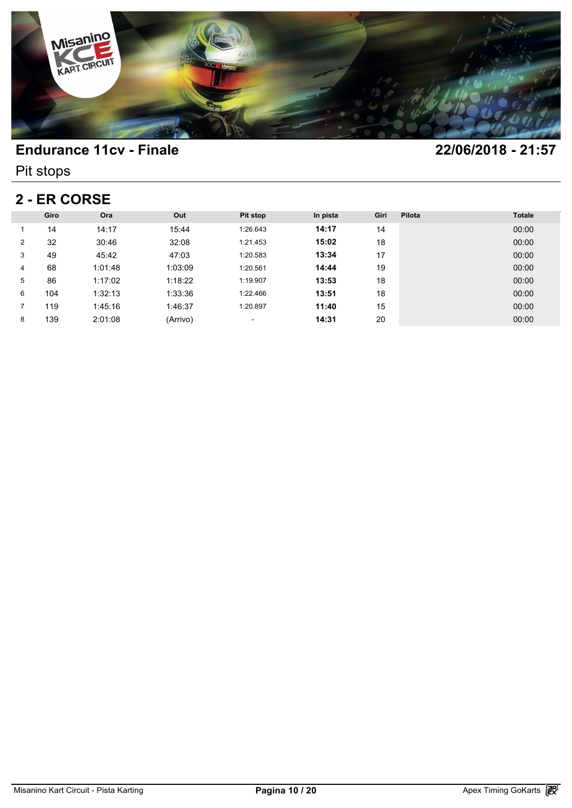

Pit stops

# **2 - ER CORSE**

| <b>2 - ER CORSE</b> |      |         |          |          |          |      |        |               |  |  |  |
|---------------------|------|---------|----------|----------|----------|------|--------|---------------|--|--|--|
|                     | Giro | Ora     | Out      | Pit stop | In pista | Giri | Pilota | <b>Totale</b> |  |  |  |
|                     | 14   | 14:17   | 15:44    | 1:26.643 | 14:17    | 14   |        | 00:00         |  |  |  |
| $\overline{2}$      | 32   | 30:46   | 32:08    | 1:21.453 | 15:02    | 18   |        | 00:00         |  |  |  |
| 3                   | 49   | 45:42   | 47:03    | 1:20.583 | 13:34    | 17   |        | 00:00         |  |  |  |
| 4                   | 68   | 1:01:48 | 1:03:09  | 1:20.561 | 14:44    | 19   |        | 00:00         |  |  |  |
| 5                   | 86   | 1:17:02 | 1:18:22  | 1:19.907 | 13:53    | 18   |        | 00:00         |  |  |  |
| 6                   | 104  | 1:32:13 | 1:33:36  | 1:22.466 | 13:51    | 18   |        | 00:00         |  |  |  |
|                     | 119  | 1:45:16 | 1:46:37  | 1:20.897 | 11:40    | 15   |        | 00:00         |  |  |  |
| 8                   | 139  | 2:01:08 | (Arrivo) | ٠        | 14:31    | 20   |        | 00:00         |  |  |  |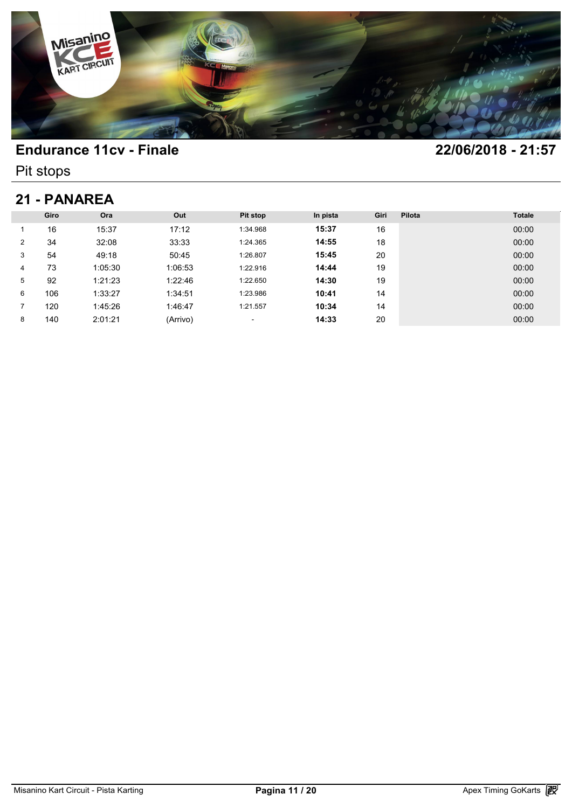

Pit stops

## **21 - PANAREA**

| 21 - PANAREA |      |         |          |          |          |      |        |               |  |  |
|--------------|------|---------|----------|----------|----------|------|--------|---------------|--|--|
|              | Giro | Ora     | Out      | Pit stop | In pista | Giri | Pilota | <b>Totale</b> |  |  |
|              | 16   | 15:37   | 17:12    | 1:34.968 | 15:37    | 16   |        | 00:00         |  |  |
| 2            | 34   | 32:08   | 33:33    | 1:24.365 | 14:55    | 18   |        | 00:00         |  |  |
| 3            | 54   | 49:18   | 50:45    | 1:26.807 | 15:45    | 20   |        | 00:00         |  |  |
| 4            | 73   | 1:05:30 | 1:06:53  | 1:22.916 | 14:44    | 19   |        | 00:00         |  |  |
| 5            | 92   | 1:21:23 | 1:22:46  | 1:22.650 | 14:30    | 19   |        | 00:00         |  |  |
| 6            | 106  | 1:33:27 | 1:34:51  | 1:23.986 | 10:41    | 14   |        | 00:00         |  |  |
|              | 120  | 1:45:26 | 1:46:47  | 1:21.557 | 10:34    | 14   |        | 00:00         |  |  |
| 8            | 140  | 2:01:21 | (Arrivo) | ٠        | 14:33    | 20   |        | 00:00         |  |  |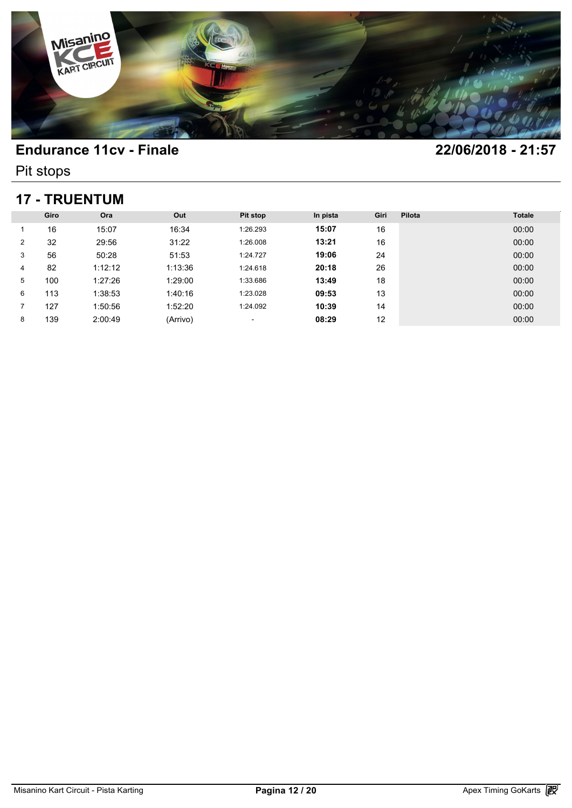

Pit stops

## **17 - TRUENTUM**

| <b>17 - TRUENTUM</b> |      |         |          |          |          |      |        |               |  |
|----------------------|------|---------|----------|----------|----------|------|--------|---------------|--|
|                      | Giro | Ora     | Out      | Pit stop | In pista | Giri | Pilota | <b>Totale</b> |  |
|                      | 16   | 15:07   | 16:34    | 1:26.293 | 15:07    | 16   |        | 00:00         |  |
| $\overline{2}$       | 32   | 29:56   | 31:22    | 1:26.008 | 13:21    | 16   |        | 00:00         |  |
| 3                    | 56   | 50:28   | 51:53    | 1:24.727 | 19:06    | 24   |        | 00:00         |  |
| 4                    | 82   | 1:12:12 | 1:13:36  | 1:24.618 | 20:18    | 26   |        | 00:00         |  |
| 5                    | 100  | 1:27:26 | 1:29:00  | 1:33.686 | 13:49    | 18   |        | 00:00         |  |
| 6                    | 113  | 1:38:53 | 1:40:16  | 1:23.028 | 09:53    | 13   |        | 00:00         |  |
| 7                    | 127  | 1:50:56 | 1:52:20  | 1:24.092 | 10:39    | 14   |        | 00:00         |  |
| 8                    | 139  | 2:00:49 | (Arrivo) | ٠        | 08:29    | 12   |        | 00:00         |  |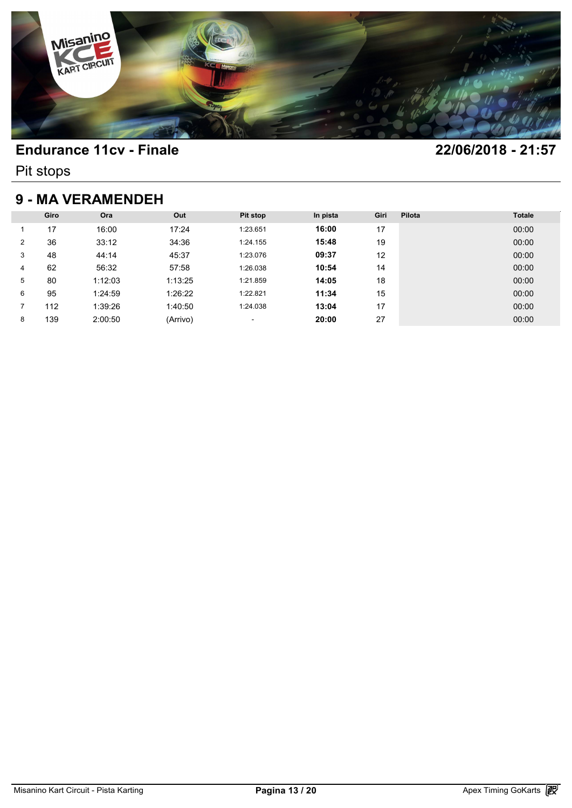

Pit stops

# **9 - MA VERAMENDEH**

|   | <b>9 - MA VERAMENDEH</b> |         |          |                          |          |      |        |               |  |  |  |  |
|---|--------------------------|---------|----------|--------------------------|----------|------|--------|---------------|--|--|--|--|
|   | Giro                     | Ora     | Out      | Pit stop                 | In pista | Giri | Pilota | <b>Totale</b> |  |  |  |  |
|   | 17                       | 16:00   | 17:24    | 1:23.651                 | 16:00    | 17   |        | 00:00         |  |  |  |  |
| 2 | 36                       | 33:12   | 34:36    | 1:24.155                 | 15:48    | 19   |        | 00:00         |  |  |  |  |
| 3 | 48                       | 44:14   | 45:37    | 1:23.076                 | 09:37    | 12   |        | 00:00         |  |  |  |  |
| 4 | 62                       | 56:32   | 57:58    | 1:26.038                 | 10:54    | 14   |        | 00:00         |  |  |  |  |
| 5 | 80                       | 1:12:03 | 1:13:25  | 1:21.859                 | 14:05    | 18   |        | 00:00         |  |  |  |  |
| 6 | 95                       | 1:24:59 | 1:26:22  | 1:22.821                 | 11:34    | 15   |        | 00:00         |  |  |  |  |
| 7 | 112                      | 1:39:26 | 1:40:50  | 1:24.038                 | 13:04    | 17   |        | 00:00         |  |  |  |  |
| 8 | 139                      | 2:00:50 | (Arrivo) | $\overline{\phantom{a}}$ | 20:00    | 27   |        | 00:00         |  |  |  |  |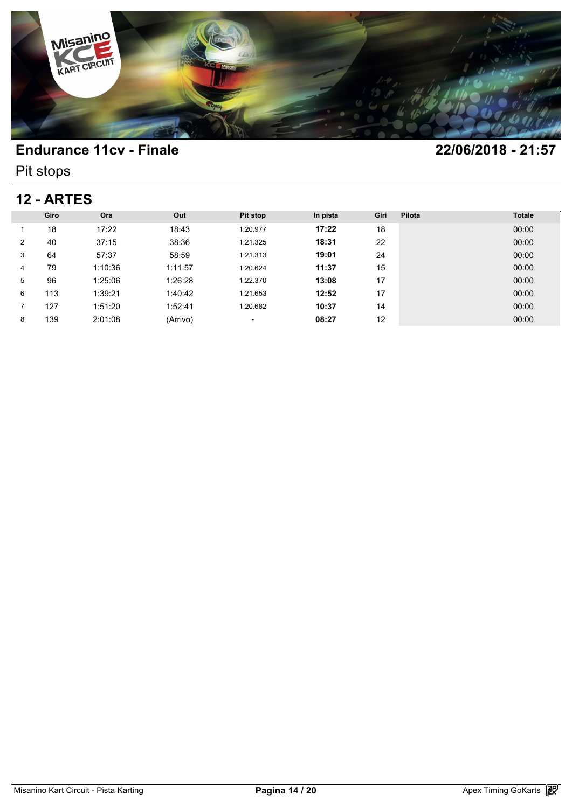

Pit stops

# **12 - ARTES**

|   | <b>12 - ARTES</b> |         |          |                          |          |      |        |               |  |  |  |  |
|---|-------------------|---------|----------|--------------------------|----------|------|--------|---------------|--|--|--|--|
|   | Giro              | Ora     | Out      | Pit stop                 | In pista | Giri | Pilota | <b>Totale</b> |  |  |  |  |
|   | 18                | 17:22   | 18:43    | 1:20.977                 | 17:22    | 18   |        | 00:00         |  |  |  |  |
| 2 | 40                | 37:15   | 38:36    | 1:21.325                 | 18:31    | 22   |        | 00:00         |  |  |  |  |
| 3 | 64                | 57:37   | 58:59    | 1:21.313                 | 19:01    | 24   |        | 00:00         |  |  |  |  |
| 4 | 79                | 1:10:36 | 1:11:57  | 1:20.624                 | 11:37    | 15   |        | 00:00         |  |  |  |  |
| 5 | 96                | 1:25:06 | 1:26:28  | 1:22.370                 | 13:08    | 17   |        | 00:00         |  |  |  |  |
| 6 | 113               | 1:39:21 | 1:40:42  | 1:21.653                 | 12:52    | 17   |        | 00:00         |  |  |  |  |
| 7 | 127               | 1:51:20 | 1:52:41  | 1:20.682                 | 10:37    | 14   |        | 00:00         |  |  |  |  |
| 8 | 139               | 2:01:08 | (Arrivo) | $\overline{\phantom{a}}$ | 08:27    | 12   |        | 00:00         |  |  |  |  |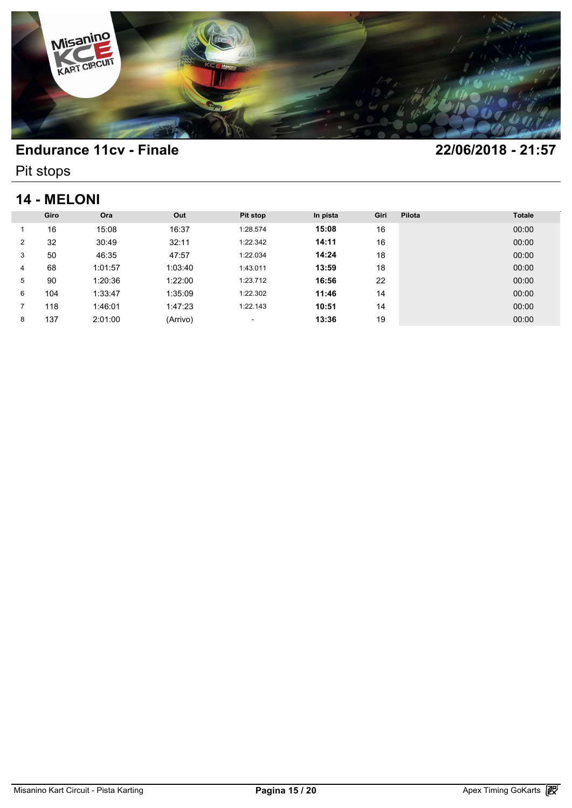

Pit stops

# **14 - MELONI**

|   | <b>14 - MELONI</b> |         |          |          |          |      |        |               |  |  |  |  |
|---|--------------------|---------|----------|----------|----------|------|--------|---------------|--|--|--|--|
|   | Giro               | Ora     | Out      | Pit stop | In pista | Giri | Pilota | <b>Totale</b> |  |  |  |  |
|   | 16                 | 15:08   | 16:37    | 1:28.574 | 15:08    | 16   |        | 00:00         |  |  |  |  |
| 2 | 32                 | 30:49   | 32:11    | 1:22.342 | 14:11    | 16   |        | 00:00         |  |  |  |  |
| 3 | 50                 | 46:35   | 47:57    | 1:22.034 | 14:24    | 18   |        | 00:00         |  |  |  |  |
| 4 | 68                 | 1:01:57 | 1:03:40  | 1:43.011 | 13:59    | 18   |        | 00:00         |  |  |  |  |
| 5 | 90                 | 1:20:36 | 1:22:00  | 1:23.712 | 16:56    | 22   |        | 00:00         |  |  |  |  |
| 6 | 104                | 1:33:47 | 1:35:09  | 1:22.302 | 11:46    | 14   |        | 00:00         |  |  |  |  |
|   | 118                | 1:46:01 | 1:47:23  | 1:22.143 | 10:51    | 14   |        | 00:00         |  |  |  |  |
| 8 | 137                | 2:01:00 | (Arrivo) | ٠        | 13:36    | 19   |        | 00:00         |  |  |  |  |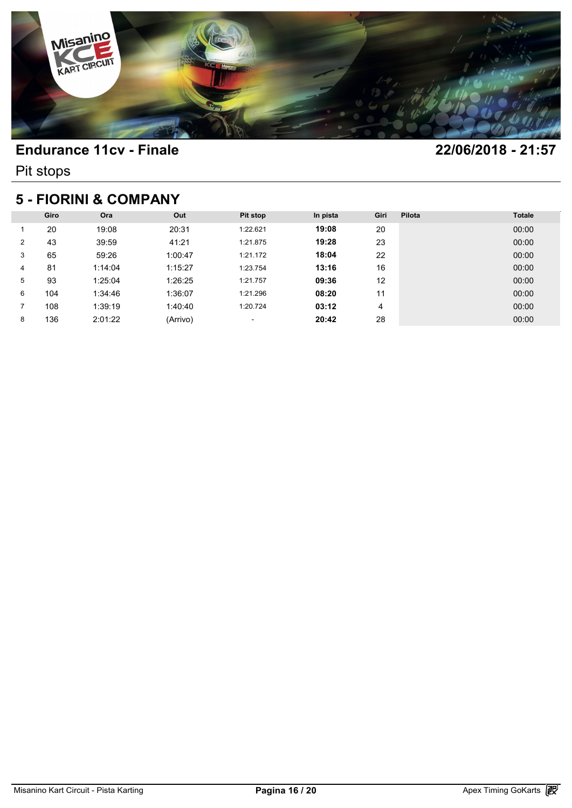

Pit stops

## **5 - FIORINI & COMPANY**

|                | 5 - FIORINI & COMPANY |         |          |          |          |      |        |               |  |  |  |  |
|----------------|-----------------------|---------|----------|----------|----------|------|--------|---------------|--|--|--|--|
|                | Giro                  | Ora     | Out      | Pit stop | In pista | Giri | Pilota | <b>Totale</b> |  |  |  |  |
|                | 20                    | 19:08   | 20:31    | 1:22.621 | 19:08    | 20   |        | 00:00         |  |  |  |  |
| $\overline{2}$ | 43                    | 39:59   | 41:21    | 1:21.875 | 19:28    | 23   |        | 00:00         |  |  |  |  |
| 3              | 65                    | 59:26   | 1:00:47  | 1:21.172 | 18:04    | 22   |        | 00:00         |  |  |  |  |
| 4              | 81                    | 1:14:04 | 1:15:27  | 1:23.754 | 13:16    | 16   |        | 00:00         |  |  |  |  |
| 5              | 93                    | 1:25:04 | 1:26:25  | 1:21.757 | 09:36    | 12   |        | 00:00         |  |  |  |  |
| 6              | 104                   | 1:34:46 | 1:36:07  | 1:21.296 | 08:20    | 11   |        | 00:00         |  |  |  |  |
|                | 108                   | 1:39:19 | 1:40:40  | 1:20.724 | 03:12    | 4    |        | 00:00         |  |  |  |  |
| 8              | 136                   | 2:01:22 | (Arrivo) | ٠        | 20:42    | 28   |        | 00:00         |  |  |  |  |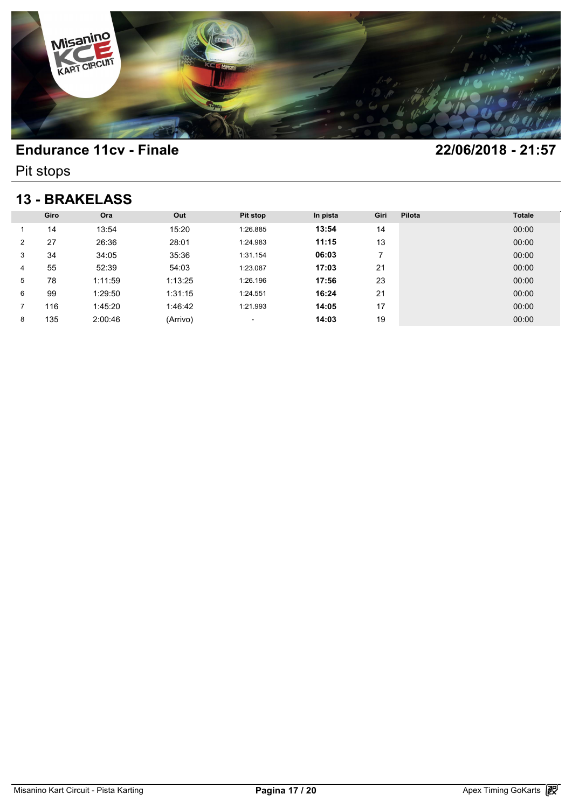

Pit stops

## **13 - BRAKELASS**

|   | <b>13 - BRAKELASS</b> |         |          |                          |          |      |        |               |  |  |  |  |
|---|-----------------------|---------|----------|--------------------------|----------|------|--------|---------------|--|--|--|--|
|   | Giro                  | Ora     | Out      | <b>Pit stop</b>          | In pista | Giri | Pilota | <b>Totale</b> |  |  |  |  |
|   | 14                    | 13:54   | 15:20    | 1:26.885                 | 13:54    | 14   |        | 00:00         |  |  |  |  |
| 2 | 27                    | 26:36   | 28:01    | 1:24.983                 | 11:15    | 13   |        | 00:00         |  |  |  |  |
| 3 | 34                    | 34:05   | 35:36    | 1:31.154                 | 06:03    | 7    |        | 00:00         |  |  |  |  |
| 4 | 55                    | 52:39   | 54:03    | 1:23.087                 | 17:03    | 21   |        | 00:00         |  |  |  |  |
| 5 | 78                    | 1:11:59 | 1:13:25  | 1:26.196                 | 17:56    | 23   |        | 00:00         |  |  |  |  |
| 6 | 99                    | 1:29:50 | 1:31:15  | 1:24.551                 | 16:24    | 21   |        | 00:00         |  |  |  |  |
| 7 | 116                   | 1:45:20 | 1:46:42  | 1:21.993                 | 14:05    | 17   |        | 00:00         |  |  |  |  |
| 8 | 135                   | 2:00:46 | (Arrivo) | $\overline{\phantom{a}}$ | 14:03    | 19   |        | 00:00         |  |  |  |  |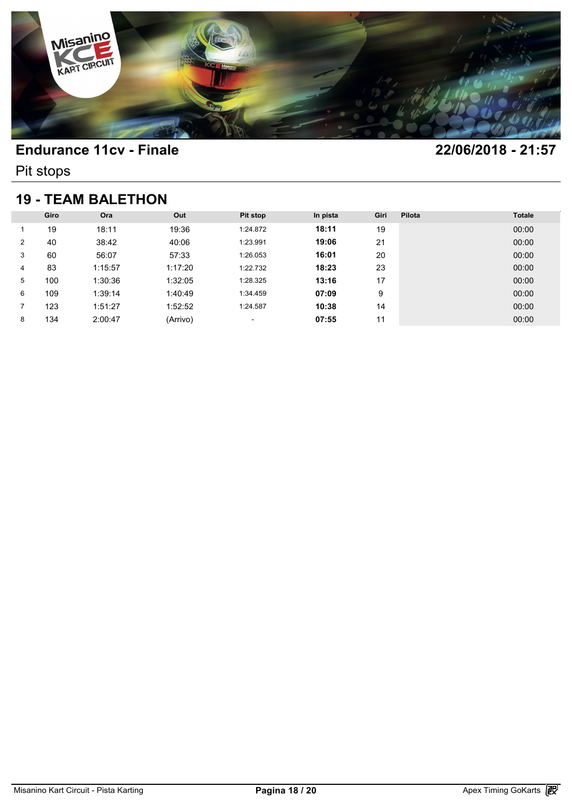

Pit stops

## **19 - TEAM BALETHON**

|   | <b>19 - TEAM BALETHON</b> |         |          |                          |          |      |        |               |  |  |  |  |
|---|---------------------------|---------|----------|--------------------------|----------|------|--------|---------------|--|--|--|--|
|   | Giro                      | Ora     | Out      | Pit stop                 | In pista | Giri | Pilota | <b>Totale</b> |  |  |  |  |
|   | 19                        | 18:11   | 19:36    | 1:24.872                 | 18:11    | 19   |        | 00:00         |  |  |  |  |
| 2 | 40                        | 38:42   | 40:06    | 1:23.991                 | 19:06    | 21   |        | 00:00         |  |  |  |  |
| 3 | 60                        | 56:07   | 57:33    | 1:26.053                 | 16:01    | 20   |        | 00:00         |  |  |  |  |
| 4 | 83                        | 1:15:57 | 1:17:20  | 1:22.732                 | 18:23    | 23   |        | 00:00         |  |  |  |  |
| 5 | 100                       | 1:30:36 | 1:32:05  | 1:28.325                 | 13:16    | 17   |        | 00:00         |  |  |  |  |
| 6 | 109                       | 1:39:14 | 1:40:49  | 1:34.459                 | 07:09    | 9    |        | 00:00         |  |  |  |  |
| 7 | 123                       | 1:51:27 | 1:52:52  | 1:24.587                 | 10:38    | 14   |        | 00:00         |  |  |  |  |
| 8 | 134                       | 2:00:47 | (Arrivo) | $\overline{\phantom{a}}$ | 07:55    | 11   |        | 00:00         |  |  |  |  |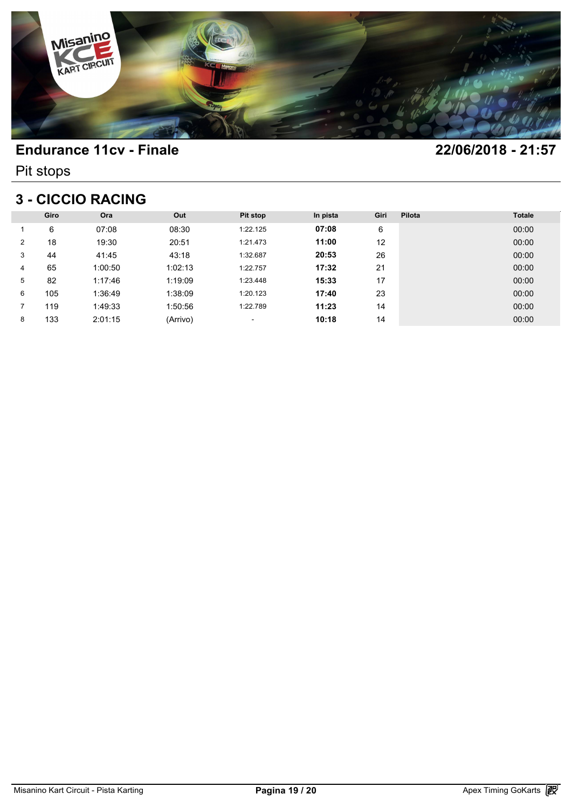

Pit stops

## **3 - CICCIO RACING**

|                | 3 - CICCIO RACING |         |          |          |          |      |        |               |  |  |  |  |
|----------------|-------------------|---------|----------|----------|----------|------|--------|---------------|--|--|--|--|
|                | Giro              | Ora     | Out      | Pit stop | In pista | Giri | Pilota | <b>Totale</b> |  |  |  |  |
|                | 6                 | 07:08   | 08:30    | 1:22.125 | 07:08    | 6    |        | 00:00         |  |  |  |  |
| $\overline{2}$ | 18                | 19:30   | 20:51    | 1:21.473 | 11:00    | 12   |        | 00:00         |  |  |  |  |
| 3              | 44                | 41:45   | 43:18    | 1:32.687 | 20:53    | 26   |        | 00:00         |  |  |  |  |
| 4              | 65                | 1:00:50 | 1:02:13  | 1:22.757 | 17:32    | 21   |        | 00:00         |  |  |  |  |
| 5              | 82                | 1:17:46 | 1:19:09  | 1:23.448 | 15:33    | 17   |        | 00:00         |  |  |  |  |
| 6              | 105               | 1:36:49 | 1:38:09  | 1:20.123 | 17:40    | 23   |        | 00:00         |  |  |  |  |
|                | 119               | 1:49:33 | 1:50:56  | 1:22.789 | 11:23    | 14   |        | 00:00         |  |  |  |  |
| 8              | 133               | 2:01:15 | (Arrivo) | ٠        | 10:18    | 14   |        | 00:00         |  |  |  |  |